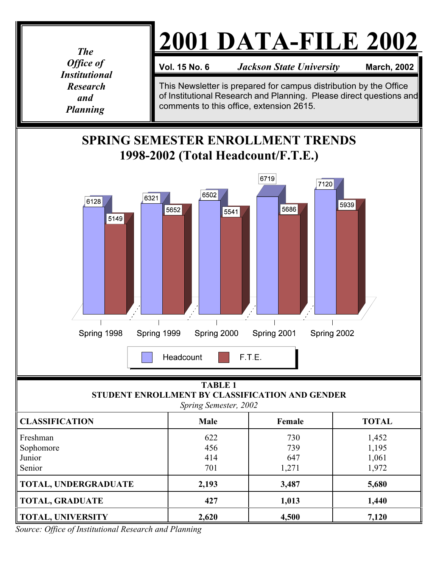*The Office of Institutional Research and Planning*

## **2001 DATA-FILE 2002**

**Vol. 15 No. 6** *Jackson State University* **March, 2002** 

This Newsletter is prepared for campus distribution by the Office of Institutional Research and Planning. Please direct questions and comments to this office, extension 2615.

## **SPRING SEMESTER ENROLLMENT TRENDS 1998-2002 (Total Headcount/F.T.E.)**



## **TABLE 1 STUDENT ENROLLMENT BY CLASSIFICATION AND GENDER** *Spring Semester, 2002*

| <b>CLASSIFICATION</b> | <b>Male</b> | Female | <b>TOTAL</b> |  |  |  |  |  |
|-----------------------|-------------|--------|--------------|--|--|--|--|--|
| Freshman              | 622         | 730    | 1,452        |  |  |  |  |  |
| Sophomore             | 456         | 739    | 1,195        |  |  |  |  |  |
| Junior                | 414         | 647    | 1,061        |  |  |  |  |  |
| Senior                | 701         | 1,271  | 1,972        |  |  |  |  |  |
| TOTAL, UNDERGRADUATE  | 2,193       | 3,487  | 5,680        |  |  |  |  |  |
| TOTAL, GRADUATE       | 427         | 1,013  | 1,440        |  |  |  |  |  |
| TOTAL, UNIVERSITY     | 2,620       | 4,500  | 7,120        |  |  |  |  |  |

*Source: Office of Institutional Research and Planning*